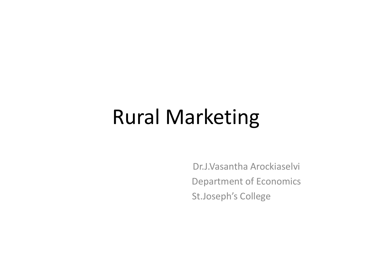#### Rural Marketing

 Dr.J.Vasantha Arockiaselvi Department of Economics St.Joseph's College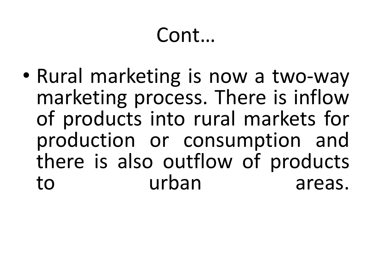• Rural marketing is now a two-way marketing process. There is inflow of products into rural markets for production or consumption and there is also outflow of products to urban areas.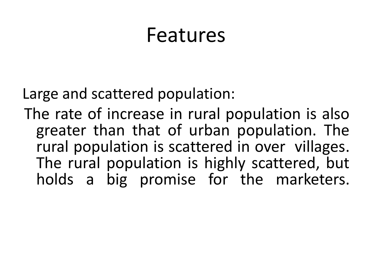#### Features

Large and scattered population:

The rate of increase in rural population is also greater than that of urban population. The rural population is scattered in over villages. The rural population is highly scattered, but holds a big promise for the marketers.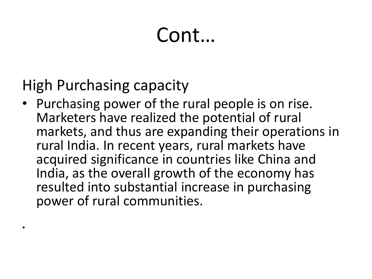#### High Purchasing capacity

•

• Purchasing power of the rural people is on rise. Marketers have realized the potential of rural markets, and thus are expanding their operations in rural India. In recent years, rural markets have acquired significance in countries like China and India, as the overall growth of the economy has resulted into substantial increase in purchasing power of rural communities.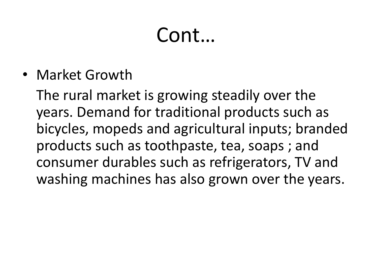• Market Growth

 The rural market is growing steadily over the years. Demand for traditional products such as bicycles, mopeds and agricultural inputs; branded products such as toothpaste, tea, soaps ; and consumer durables such as refrigerators, TV and washing machines has also grown over the years.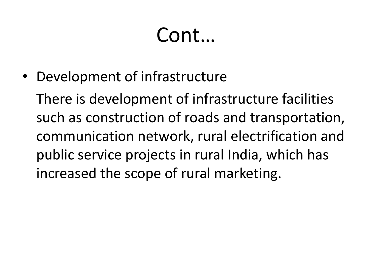• Development of infrastructure

 There is development of infrastructure facilities such as construction of roads and transportation, communication network, rural electrification and public service projects in rural India, which has increased the scope of rural marketing.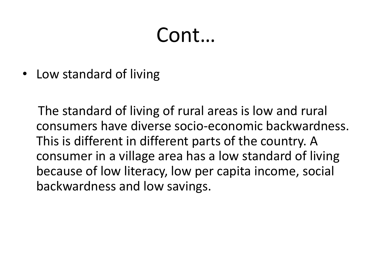• Low standard of living

 The standard of living of rural areas is low and rural consumers have diverse socio-economic backwardness. This is different in different parts of the country. A consumer in a village area has a low standard of living because of low literacy, low per capita income, social backwardness and low savings.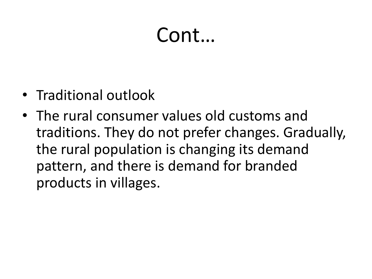- Traditional outlook
- The rural consumer values old customs and traditions. They do not prefer changes. Gradually, the rural population is changing its demand pattern, and there is demand for branded products in villages.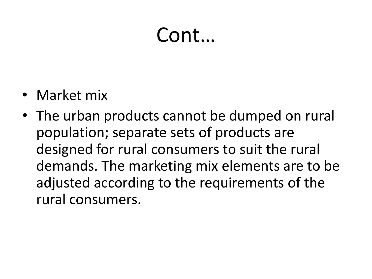- Market mix
- The urban products cannot be dumped on rural population; separate sets of products are designed for rural consumers to suit the rural demands. The marketing mix elements are to be adjusted according to the requirements of the rural consumers.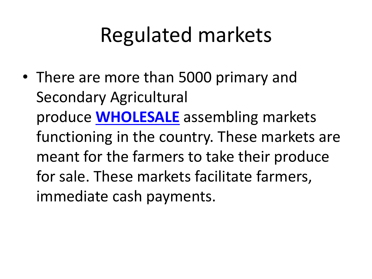## Regulated markets

• There are more than 5000 primary and Secondary Agricultural produce **[WHOLESALE](http://www.indianmba.com/Faculty_Column/FC903/fc903.html)** assembling markets functioning in the country. These markets are meant for the farmers to take their produce for sale. These markets facilitate farmers, immediate cash payments.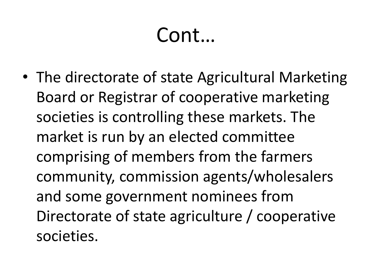• The directorate of state Agricultural Marketing Board or Registrar of cooperative marketing societies is controlling these markets. The market is run by an elected committee comprising of members from the farmers community, commission agents/wholesalers and some government nominees from Directorate of state agriculture / cooperative societies.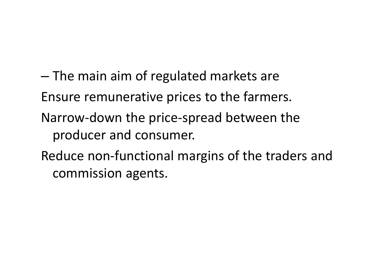– The main aim of regulated markets are Ensure remunerative prices to the farmers. Narrow-down the price-spread between the producer and consumer. Reduce non-functional margins of the traders and commission agents.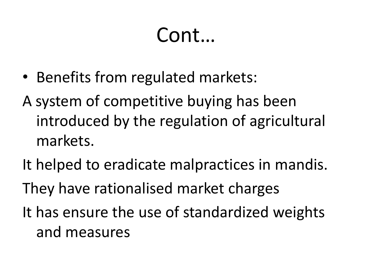- Benefits from regulated markets:
- A system of competitive buying has been introduced by the regulation of agricultural markets.
- It helped to eradicate malpractices in mandis.
- They have rationalised market charges
- It has ensure the use of standardized weights and measures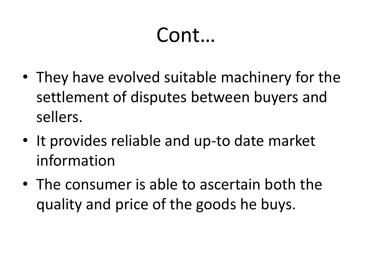- They have evolved suitable machinery for the settlement of disputes between buyers and sellers.
- It provides reliable and up-to date market information
- The consumer is able to ascertain both the quality and price of the goods he buys.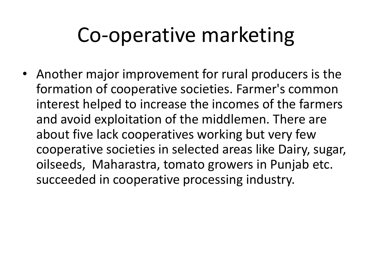## Co-operative marketing

• Another major improvement for rural producers is the formation of cooperative societies. Farmer's common interest helped to increase the incomes of the farmers and avoid exploitation of the middlemen. There are about five lack cooperatives working but very few cooperative societies in selected areas like Dairy, sugar, oilseeds, Maharastra, tomato growers in Punjab etc. succeeded in cooperative processing industry.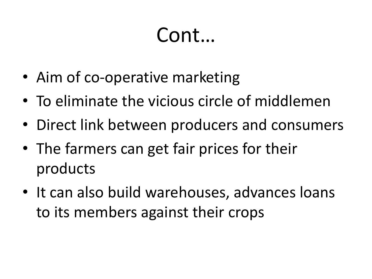- Aim of co-operative marketing
- To eliminate the vicious circle of middlemen
- Direct link between producers and consumers
- The farmers can get fair prices for their products
- It can also build warehouses, advances loans to its members against their crops